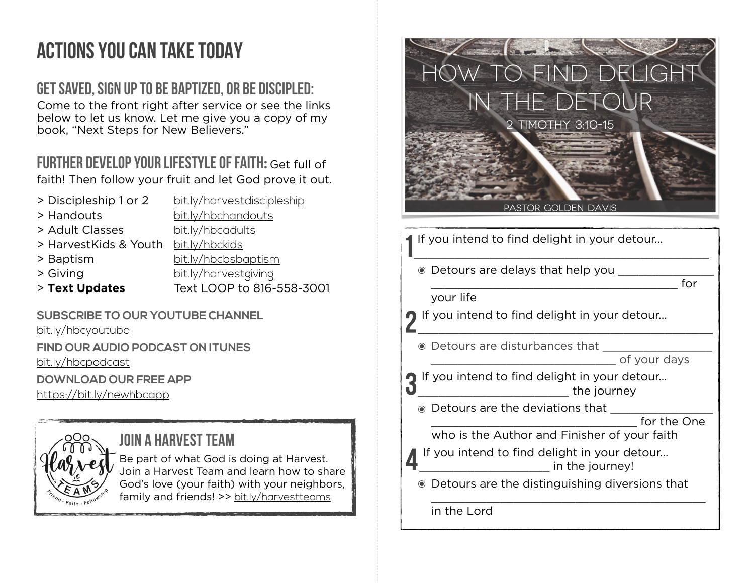## ACTIONS YOU CAN TAKE TODAY

## **GET SAVED, SIGN UP TO BE BAPTIZED, OR BE DISCIPLED:**

Come to the front right after service or see the links below to let us know. Let me give you a copy of my book, "Next Steps for New Believers."

## **FURTHER DEVELOP YOUR LIFESTYLE OF FAITH:** Get full of

faith! Then follow your fruit and let God prove it out.

- > Discipleship 1 or 2 [bit.ly/harvestdiscipleship](http://bit.ly/harvestdiscipleship)
- > Handouts [bit.ly/hbchandouts](http://bit.ly/hbchandouts)
- > Adult Classes [bit.ly/hbcadults](http://bit.ly/hbcadults)
	-
- > HarvestKids & Youth [bit.ly/hbckids](http://bit.ly/hbckids)
- 
- 

> Baptism [bit.ly/hbcbsbaptism](http://bit.ly/hbcbsbaptism) > Giving [bit.ly/harvestgiving](http://bit.ly/harvestgiving)

- 
- > **Text Updates** Text LOOP to 816-558-3001

**SUBSCRIBE TO OUR YOUTUBE CHANNEL** [bit.ly/hbcyoutube](http://bit.ly/hbcyoutube) **FIND OUR AUDIO PODCAST ON ITUNES** [bit.ly/hbcpodcast](http://bit.ly/hbcpodcast)

**DOWNLOAD OUR FREE APP**

<https://bit.ly/newhbcapp>

**JOIN A HARVEST TEAM** Be part of what God is doing at Harvest. Join a Harvest Team and learn how to share God's love (your faith) with your neighbors, family and friends! >> [bit.ly/harvestteams](http://bit.ly/harvestteams)



in the Lord